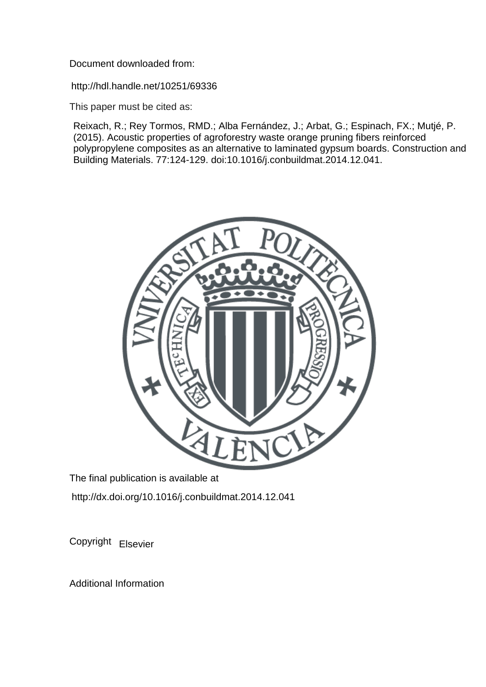Document downloaded from:

http://hdl.handle.net/10251/69336

This paper must be cited as:

Reixach, R.; Rey Tormos, RMD.; Alba Fernández, J.; Arbat, G.; Espinach, FX.; Mutjé, P. (2015). Acoustic properties of agroforestry waste orange pruning fibers reinforced polypropylene composites as an alternative to laminated gypsum boards. Construction and Building Materials. 77:124-129. doi:10.1016/j.conbuildmat.2014.12.041.



The final publication is available at http://dx.doi.org/10.1016/j.conbuildmat.2014.12.041

Copyright Elsevier

Additional Information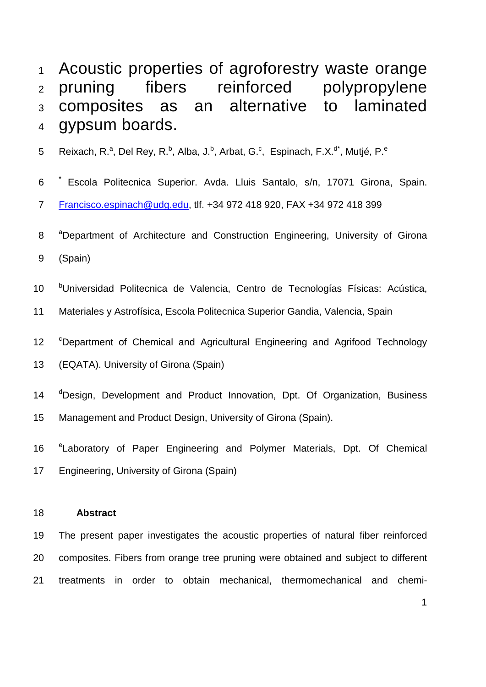Acoustic properties of agroforestry waste orange pruning fibers reinforced polypropylene composites as an alternative to laminated gypsum boards.

5 Reixach, R.<sup>a</sup>, Del Rey, R.<sup>b</sup>, Alba, J.<sup>b</sup>, Arbat, G.<sup>c</sup>, Espinach, F.X.<sup>d\*</sup>, Mutjé, P.<sup>e</sup>

6 <sup>\*</sup> Escola Politecnica Superior. Avda. Lluis Santalo, s/n, 17071 Girona, Spain.

[Francisco.espinach@udg.edu,](mailto:Francisco.espinach@udg.edu) tlf. +34 972 418 920, FAX +34 972 418 399

- 8 <sup>a</sup> Department of Architecture and Construction Engineering, University of Girona
- (Spain)
- 10 <sup>b</sup>Universidad Politecnica de Valencia, Centro de Tecnologías Físicas: Acústica,

Materiales y Astrofísica, Escola Politecnica Superior Gandia, Valencia, Spain

12 <sup>C</sup>Department of Chemical and Agricultural Engineering and Agrifood Technology

(EQATA). University of Girona (Spain)

14 <sup>d</sup>Design, Development and Product Innovation, Dpt. Of Organization, Business

Management and Product Design, University of Girona (Spain).

16 <sup>e</sup> Laboratory of Paper Engineering and Polymer Materials, Dpt. Of Chemical

Engineering, University of Girona (Spain)

# **Abstract**

 The present paper investigates the acoustic properties of natural fiber reinforced composites. Fibers from orange tree pruning were obtained and subject to different treatments in order to obtain mechanical, thermomechanical and chemi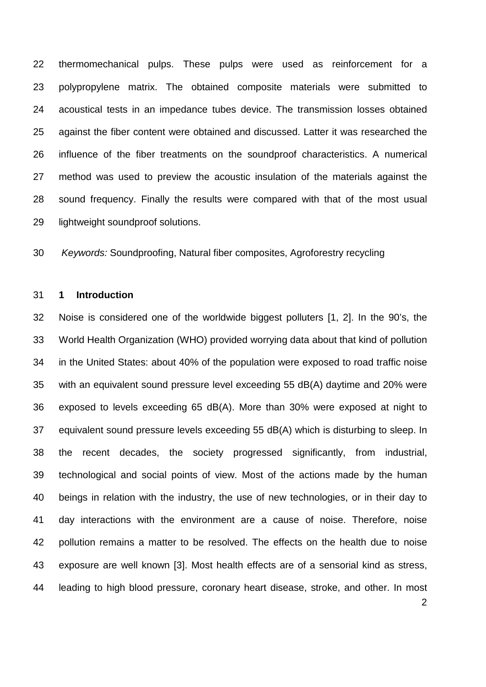thermomechanical pulps. These pulps were used as reinforcement for a polypropylene matrix. The obtained composite materials were submitted to acoustical tests in an impedance tubes device. The transmission losses obtained against the fiber content were obtained and discussed. Latter it was researched the influence of the fiber treatments on the soundproof characteristics. A numerical method was used to preview the acoustic insulation of the materials against the sound frequency. Finally the results were compared with that of the most usual lightweight soundproof solutions.

*Keywords:* Soundproofing, Natural fiber composites, Agroforestry recycling

#### **1 Introduction**

 Noise is considered one of the worldwide biggest polluters [\[1,](#page-17-0) [2\]](#page-17-1). In the 90's, the World Health Organization (WHO) provided worrying data about that kind of pollution in the United States: about 40% of the population were exposed to road traffic noise with an equivalent sound pressure level exceeding 55 dB(A) daytime and 20% were exposed to levels exceeding 65 dB(A). More than 30% were exposed at night to equivalent sound pressure levels exceeding 55 dB(A) which is disturbing to sleep. In the recent decades, the society progressed significantly, from industrial, technological and social points of view. Most of the actions made by the human beings in relation with the industry, the use of new technologies, or in their day to day interactions with the environment are a cause of noise. Therefore, noise pollution remains a matter to be resolved. The effects on the health due to noise exposure are well known [\[3\]](#page-17-2). Most health effects are of a sensorial kind as stress, leading to high blood pressure, coronary heart disease, stroke, and other. In most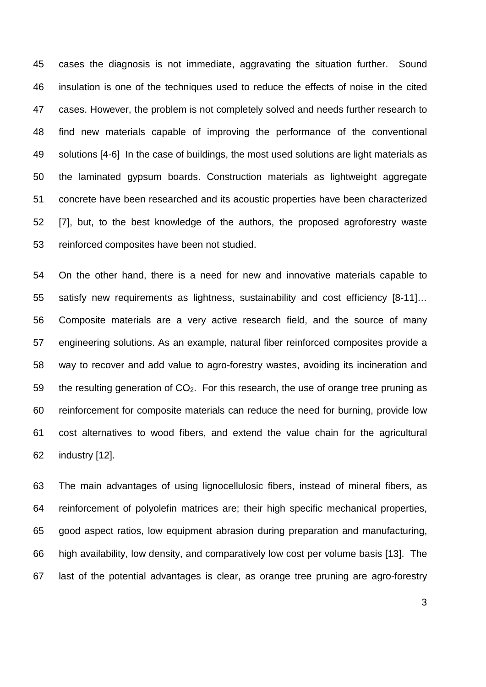cases the diagnosis is not immediate, aggravating the situation further. Sound insulation is one of the techniques used to reduce the effects of noise in the cited cases. However, the problem is not completely solved and needs further research to find new materials capable of improving the performance of the conventional solutions [\[4-6\]](#page-18-0) In the case of buildings, the most used solutions are light materials as the laminated gypsum boards. Construction materials as lightweight aggregate concrete have been researched and its acoustic properties have been characterized [\[7\]](#page-18-1), but, to the best knowledge of the authors, the proposed agroforestry waste reinforced composites have been not studied.

 On the other hand, there is a need for new and innovative materials capable to satisfy new requirements as lightness, sustainability and cost efficiency [\[8-11\]](#page-18-2)… Composite materials are a very active research field, and the source of many engineering solutions. As an example, natural fiber reinforced composites provide a way to recover and add value to agro-forestry wastes, avoiding its incineration and 59 the resulting generation of  $CO<sub>2</sub>$ . For this research, the use of orange tree pruning as reinforcement for composite materials can reduce the need for burning, provide low cost alternatives to wood fibers, and extend the value chain for the agricultural industry [\[12\]](#page-18-3).

 The main advantages of using lignocellulosic fibers, instead of mineral fibers, as reinforcement of polyolefin matrices are; their high specific mechanical properties, good aspect ratios, low equipment abrasion during preparation and manufacturing, high availability, low density, and comparatively low cost per volume basis [\[13\]](#page-18-4). The last of the potential advantages is clear, as orange tree pruning are agro-forestry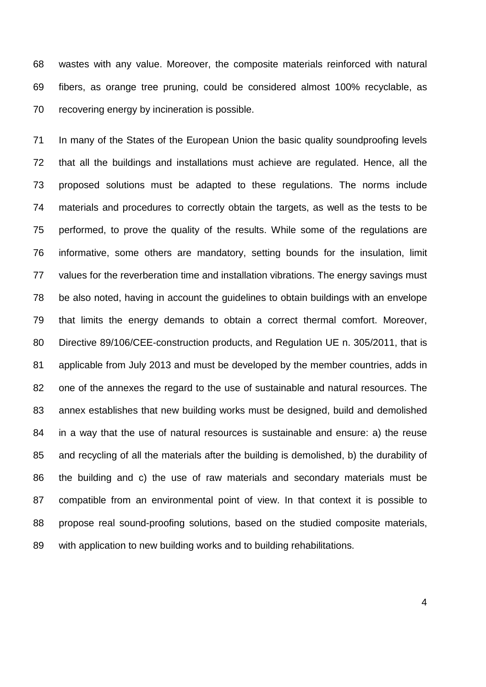wastes with any value. Moreover, the composite materials reinforced with natural fibers, as orange tree pruning, could be considered almost 100% recyclable, as recovering energy by incineration is possible.

 In many of the States of the European Union the basic quality soundproofing levels that all the buildings and installations must achieve are regulated. Hence, all the proposed solutions must be adapted to these regulations. The norms include materials and procedures to correctly obtain the targets, as well as the tests to be performed, to prove the quality of the results. While some of the regulations are informative, some others are mandatory, setting bounds for the insulation, limit values for the reverberation time and installation vibrations. The energy savings must be also noted, having in account the guidelines to obtain buildings with an envelope that limits the energy demands to obtain a correct thermal comfort. Moreover, Directive 89/106/CEE-construction products, and Regulation UE n. 305/2011, that is applicable from July 2013 and must be developed by the member countries, adds in one of the annexes the regard to the use of sustainable and natural resources. The annex establishes that new building works must be designed, build and demolished in a way that the use of natural resources is sustainable and ensure: a) the reuse and recycling of all the materials after the building is demolished, b) the durability of the building and c) the use of raw materials and secondary materials must be compatible from an environmental point of view. In that context it is possible to propose real sound-proofing solutions, based on the studied composite materials, with application to new building works and to building rehabilitations.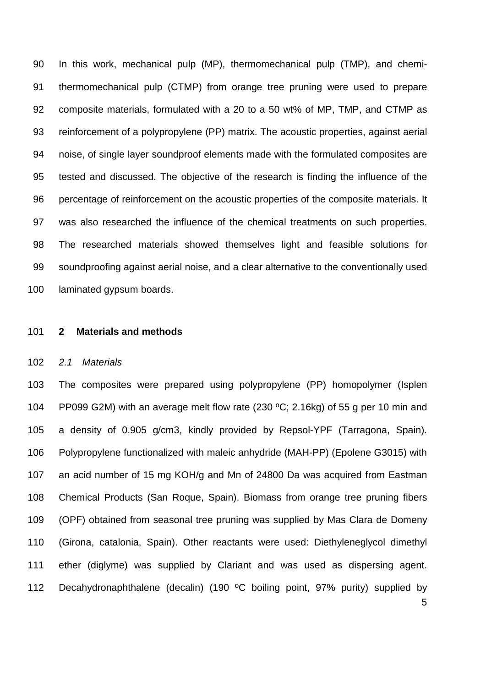In this work, mechanical pulp (MP), thermomechanical pulp (TMP), and chemi- thermomechanical pulp (CTMP) from orange tree pruning were used to prepare composite materials, formulated with a 20 to a 50 wt% of MP, TMP, and CTMP as reinforcement of a polypropylene (PP) matrix. The acoustic properties, against aerial noise, of single layer soundproof elements made with the formulated composites are tested and discussed. The objective of the research is finding the influence of the percentage of reinforcement on the acoustic properties of the composite materials. It was also researched the influence of the chemical treatments on such properties. The researched materials showed themselves light and feasible solutions for soundproofing against aerial noise, and a clear alternative to the conventionally used laminated gypsum boards.

#### **2 Materials and methods**

#### *2.1 Materials*

 The composites were prepared using polypropylene (PP) homopolymer (Isplen PP099 G2M) with an average melt flow rate (230 ºC; 2.16kg) of 55 g per 10 min and a density of 0.905 g/cm3, kindly provided by Repsol-YPF (Tarragona, Spain). Polypropylene functionalized with maleic anhydride (MAH-PP) (Epolene G3015) with an acid number of 15 mg KOH/g and Mn of 24800 Da was acquired from Eastman Chemical Products (San Roque, Spain). Biomass from orange tree pruning fibers (OPF) obtained from seasonal tree pruning was supplied by Mas Clara de Domeny (Girona, catalonia, Spain). Other reactants were used: Diethyleneglycol dimethyl ether (diglyme) was supplied by Clariant and was used as dispersing agent. Decahydronaphthalene (decalin) (190 ºC boiling point, 97% purity) supplied by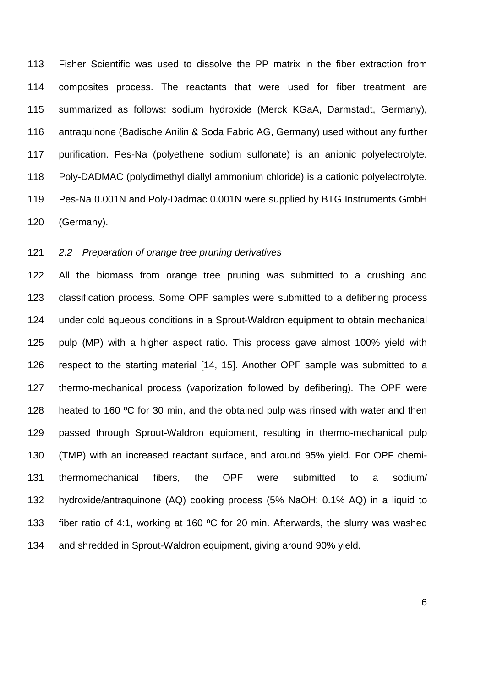Fisher Scientific was used to dissolve the PP matrix in the fiber extraction from composites process. The reactants that were used for fiber treatment are summarized as follows: sodium hydroxide (Merck KGaA, Darmstadt, Germany), antraquinone (Badische Anilin & Soda Fabric AG, Germany) used without any further purification. Pes-Na (polyethene sodium sulfonate) is an anionic polyelectrolyte. Poly-DADMAC (polydimethyl diallyl ammonium chloride) is a cationic polyelectrolyte. Pes-Na 0.001N and Poly-Dadmac 0.001N were supplied by BTG Instruments GmbH (Germany).

### *2.2 Preparation of orange tree pruning derivatives*

 All the biomass from orange tree pruning was submitted to a crushing and classification process. Some OPF samples were submitted to a defibering process under cold aqueous conditions in a Sprout-Waldron equipment to obtain mechanical pulp (MP) with a higher aspect ratio. This process gave almost 100% yield with respect to the starting material [\[14,](#page-18-5) [15\]](#page-18-6). Another OPF sample was submitted to a thermo-mechanical process (vaporization followed by defibering). The OPF were 128 heated to 160 °C for 30 min, and the obtained pulp was rinsed with water and then passed through Sprout-Waldron equipment, resulting in thermo-mechanical pulp (TMP) with an increased reactant surface, and around 95% yield. For OPF chemi- thermomechanical fibers, the OPF were submitted to a sodium/ hydroxide/antraquinone (AQ) cooking process (5% NaOH: 0.1% AQ) in a liquid to fiber ratio of 4:1, working at 160 ºC for 20 min. Afterwards, the slurry was washed and shredded in Sprout-Waldron equipment, giving around 90% yield.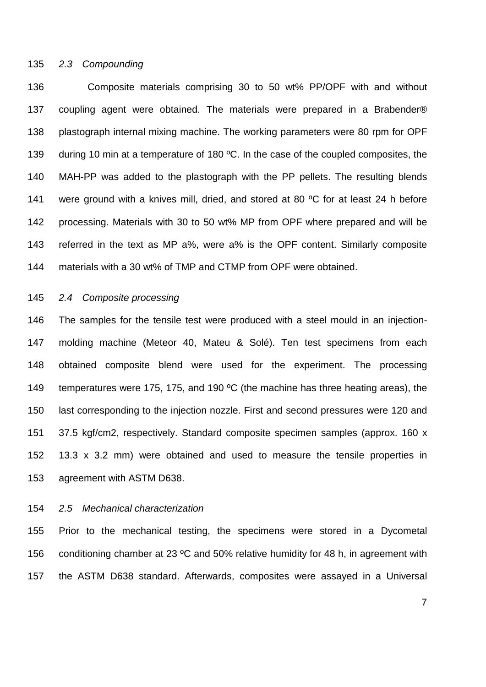### *2.3 Compounding*

 Composite materials comprising 30 to 50 wt% PP/OPF with and without coupling agent were obtained. The materials were prepared in a Brabender® plastograph internal mixing machine. The working parameters were 80 rpm for OPF 139 during 10 min at a temperature of 180 °C. In the case of the coupled composites, the MAH-PP was added to the plastograph with the PP pellets. The resulting blends 141 were ground with a knives mill, dried, and stored at 80 °C for at least 24 h before processing. Materials with 30 to 50 wt% MP from OPF where prepared and will be referred in the text as MP a%, were a% is the OPF content. Similarly composite materials with a 30 wt% of TMP and CTMP from OPF were obtained.

#### *2.4 Composite processing*

 The samples for the tensile test were produced with a steel mould in an injection- molding machine (Meteor 40, Mateu & Solé). Ten test specimens from each obtained composite blend were used for the experiment. The processing 149 temperatures were 175, 175, and 190 °C (the machine has three heating areas), the last corresponding to the injection nozzle. First and second pressures were 120 and 37.5 kgf/cm2, respectively. Standard composite specimen samples (approx. 160 x 13.3 x 3.2 mm) were obtained and used to measure the tensile properties in agreement with ASTM D638.

#### *2.5 Mechanical characterization*

 Prior to the mechanical testing, the specimens were stored in a Dycometal 156 conditioning chamber at 23 °C and 50% relative humidity for 48 h, in agreement with the ASTM D638 standard. Afterwards, composites were assayed in a Universal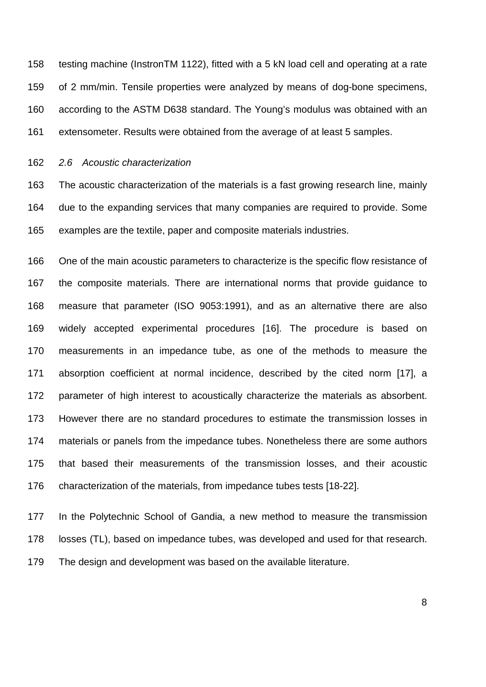testing machine (InstronTM 1122), fitted with a 5 kN load cell and operating at a rate of 2 mm/min. Tensile properties were analyzed by means of dog-bone specimens, according to the ASTM D638 standard. The Young's modulus was obtained with an extensometer. Results were obtained from the average of at least 5 samples.

*2.6 Acoustic characterization*

 The acoustic characterization of the materials is a fast growing research line, mainly due to the expanding services that many companies are required to provide. Some examples are the textile, paper and composite materials industries.

 One of the main acoustic parameters to characterize is the specific flow resistance of the composite materials. There are international norms that provide guidance to measure that parameter (ISO 9053:1991), and as an alternative there are also widely accepted experimental procedures [\[16\]](#page-18-7). The procedure is based on measurements in an impedance tube, as one of the methods to measure the absorption coefficient at normal incidence, described by the cited norm [\[17\]](#page-18-8), a parameter of high interest to acoustically characterize the materials as absorbent. However there are no standard procedures to estimate the transmission losses in materials or panels from the impedance tubes. Nonetheless there are some authors that based their measurements of the transmission losses, and their acoustic characterization of the materials, from impedance tubes tests [\[18-22\]](#page-18-9).

 In the Polytechnic School of Gandia, a new method to measure the transmission losses (TL), based on impedance tubes, was developed and used for that research. The design and development was based on the available literature.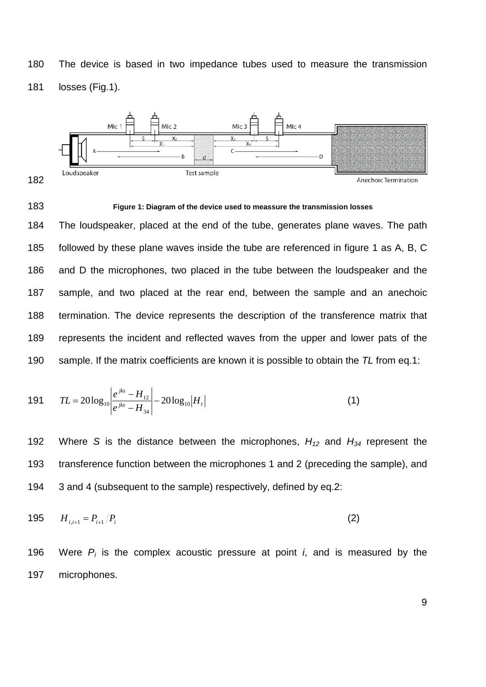The device is based in two impedance tubes used to measure the transmission losses (Fig.1).



#### **Figure 1: Diagram of the device used to meassure the transmission losses**

 The loudspeaker, placed at the end of the tube, generates plane waves. The path followed by these plane waves inside the tube are referenced in figure 1 as A, B, C and D the microphones, two placed in the tube between the loudspeaker and the sample, and two placed at the rear end, between the sample and an anechoic termination. The device represents the description of the transference matrix that represents the incident and reflected waves from the upper and lower pats of the sample. If the matrix coefficients are known it is possible to obtain the *TL* from eq.1:

191 
$$
TL = 20\log_{10} \left| \frac{e^{jks} - H_{12}}{e^{jks} - H_{34}} \right| - 20\log_{10} |H_t|
$$
 (1)

 Where *S* is the distance between the microphones, *H12* and *H34* represent the transference function between the microphones 1 and 2 (preceding the sample), and 3 and 4 (subsequent to the sample) respectively, defined by eq.2:

$$
195 \t H_{i,i+1} = P_{i+1}/P_i \t (2)
$$

196 Were  $P_i$  is the complex acoustic pressure at point *i*, and is measured by the microphones.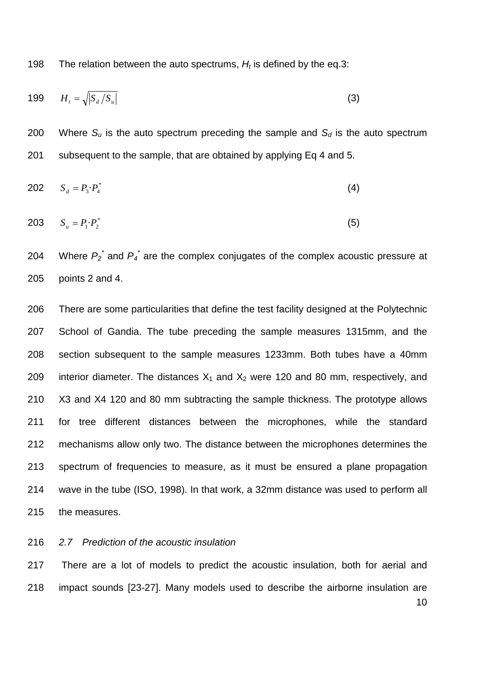198 The relation between the auto spectrums,  $H_t$  is defined by the eq.3:

$$
199 \qquad H_t = \sqrt{|S_d/S_u|} \tag{3}
$$

200 Where  $S_u$  is the auto spectrum preceding the sample and  $S_d$  is the auto spectrum subsequent to the sample, that are obtained by applying Eq 4 and 5.

202 
$$
S_d = P_3 \cdot P_4^*
$$
 (4)

$$
203 \t S_u = P_1 \cdot P_2^* \t\t(5)
$$

204 Where  $P_2^*$  and  $P_4^*$  are the complex conjugates of the complex acoustic pressure at points 2 and 4.

 There are some particularities that define the test facility designed at the Polytechnic School of Gandia. The tube preceding the sample measures 1315mm, and the section subsequent to the sample measures 1233mm. Both tubes have a 40mm 209 interior diameter. The distances  $X_1$  and  $X_2$  were 120 and 80 mm, respectively, and X3 and X4 120 and 80 mm subtracting the sample thickness. The prototype allows for tree different distances between the microphones, while the standard mechanisms allow only two. The distance between the microphones determines the spectrum of frequencies to measure, as it must be ensured a plane propagation wave in the tube (ISO, 1998). In that work, a 32mm distance was used to perform all the measures.

*2.7 Prediction of the acoustic insulation*

 There are a lot of models to predict the acoustic insulation, both for aerial and impact sounds [\[23-27\]](#page-18-10). Many models used to describe the airborne insulation are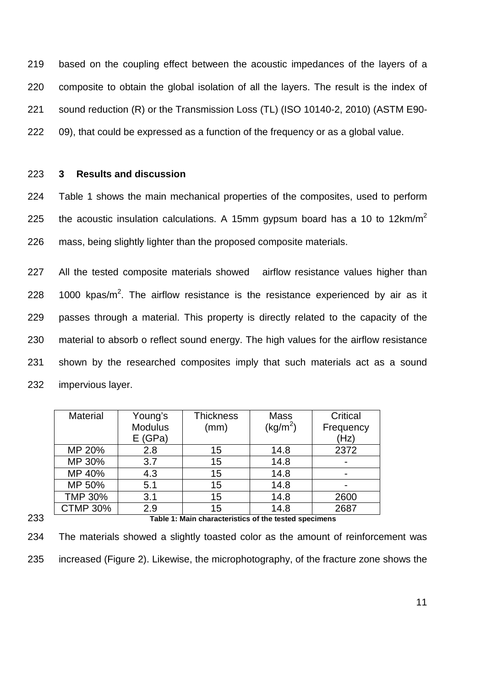based on the coupling effect between the acoustic impedances of the layers of a composite to obtain the global isolation of all the layers. The result is the index of sound reduction (R) or the Transmission Loss (TL) (ISO 10140-2, 2010) (ASTM E90- 09), that could be expressed as a function of the frequency or as a global value.

#### 223 **3 Results and discussion**

224 Table 1 shows the main mechanical properties of the composites, used to perform 225 the acoustic insulation calculations. A 15mm gypsum board has a 10 to 12km/m<sup>2</sup> 226 mass, being slightly lighter than the proposed composite materials.

 All the tested composite materials showed airflow resistance values higher than  $\pm$  1000 kpas/m<sup>2</sup>. The airflow resistance is the resistance experienced by air as it passes through a material. This property is directly related to the capacity of the material to absorb o reflect sound energy. The high values for the airflow resistance shown by the researched composites imply that such materials act as a sound impervious layer.

|     | <b>Material</b>                                       | Young's        | <b>Thickness</b> | <b>Mass</b>          | Critical  |
|-----|-------------------------------------------------------|----------------|------------------|----------------------|-----------|
|     |                                                       | <b>Modulus</b> | (mm)             | (kg/m <sup>2</sup> ) | Frequency |
|     |                                                       | E(GPa)         |                  |                      | (Hz)      |
|     | MP 20%                                                | 2.8            | 15               | 14.8                 | 2372      |
|     | MP 30%                                                | 3.7            | 15               | 14.8                 |           |
|     | MP 40%                                                | 4.3            | 15               | 14.8                 |           |
|     | MP 50%                                                | 5.1            | 15               | 14.8                 |           |
|     | <b>TMP 30%</b>                                        | 3.1            | 15               | 14.8                 | 2600      |
|     | <b>CTMP 30%</b>                                       | 2.9            | 15               | 14.8                 | 2687      |
| 233 | Table 1: Main characteristics of the tested specimens |                |                  |                      |           |

234 The materials showed a slightly toasted color as the amount of reinforcement was 235 increased (Figure 2). Likewise, the microphotography, of the fracture zone shows the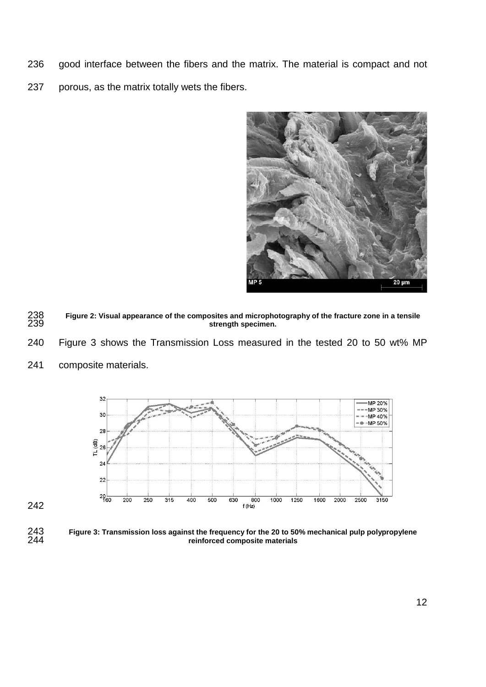- good interface between the fibers and the matrix. The material is compact and not
- porous, as the matrix totally wets the fibers.



- **Figure 2: Visual appearance of the composites and microphotography of the fracture zone in a tensile**  strength specimen.
- Figure 3 shows the Transmission Loss measured in the tested 20 to 50 wt% MP
- composite materials.



 **Figure 3: Transmission loss against the frequency for the 20 to 50% mechanical pulp polypropylene reinforced composite materials**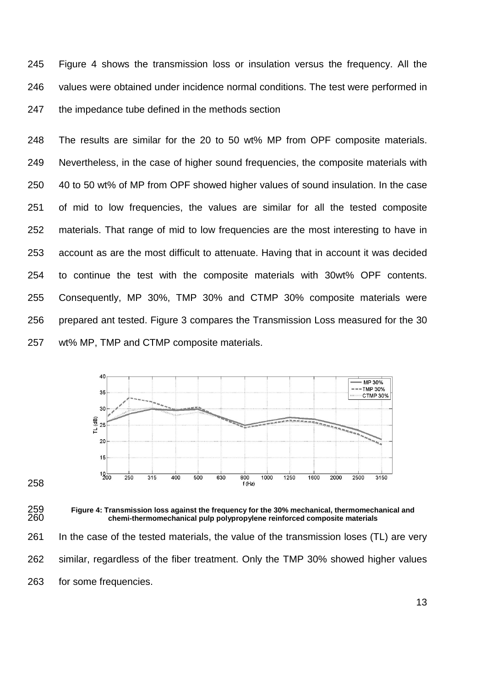Figure 4 shows the transmission loss or insulation versus the frequency. All the values were obtained under incidence normal conditions. The test were performed in the impedance tube defined in the methods section

 The results are similar for the 20 to 50 wt% MP from OPF composite materials. Nevertheless, in the case of higher sound frequencies, the composite materials with 40 to 50 wt% of MP from OPF showed higher values of sound insulation. In the case of mid to low frequencies, the values are similar for all the tested composite materials. That range of mid to low frequencies are the most interesting to have in account as are the most difficult to attenuate. Having that in account it was decided to continue the test with the composite materials with 30wt% OPF contents. Consequently, MP 30%, TMP 30% and CTMP 30% composite materials were prepared ant tested. Figure 3 compares the Transmission Loss measured for the 30 wt% MP, TMP and CTMP composite materials.



 **Figure 4: Transmission loss against the frequency for the 30% mechanical, thermomechanical and chemi-thermomechanical pulp polypropylene reinforced composite materials**

 In the case of the tested materials, the value of the transmission loses (TL) are very similar, regardless of the fiber treatment. Only the TMP 30% showed higher values for some frequencies.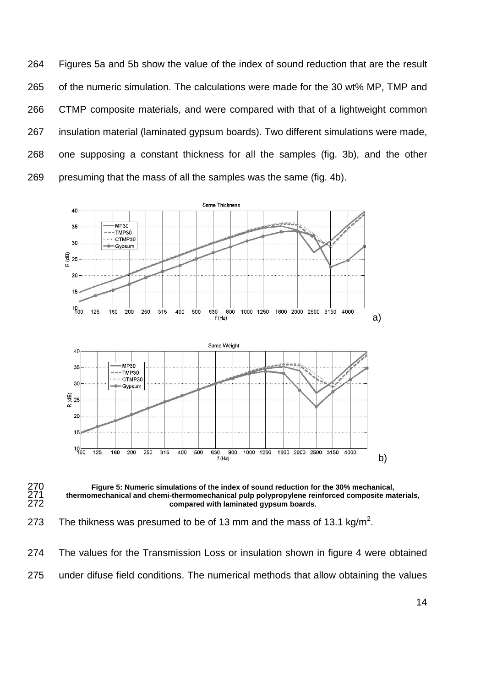Figures 5a and 5b show the value of the index of sound reduction that are the result of the numeric simulation. The calculations were made for the 30 wt% MP, TMP and CTMP composite materials, and were compared with that of a lightweight common insulation material (laminated gypsum boards). Two different simulations were made, one supposing a constant thickness for all the samples (fig. 3b), and the other presuming that the mass of all the samples was the same (fig. 4b).





 **Figure 5: Numeric simulations of the index of sound reduction for the 30% mechanical,**  thermomechanical and chemi-thermomechanical pulp polypropylene reinforced composite materials, compared with laminated gypsum boards.

273 The thikness was presumed to be of 13 mm and the mass of 13.1 kg/m<sup>2</sup>.

 The values for the Transmission Loss or insulation shown in figure 4 were obtained under difuse field conditions. The numerical methods that allow obtaining the values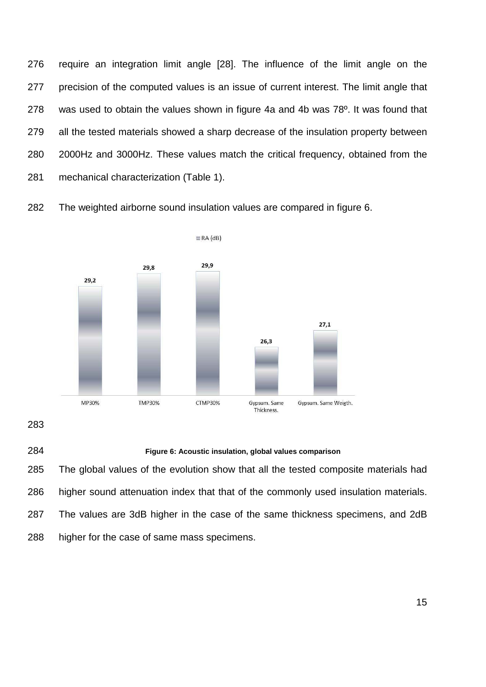require an integration limit angle [\[28\]](#page-19-0). The influence of the limit angle on the precision of the computed values is an issue of current interest. The limit angle that was used to obtain the values shown in figure 4a and 4b was 78º. It was found that all the tested materials showed a sharp decrease of the insulation property between 2000Hz and 3000Hz. These values match the critical frequency, obtained from the mechanical characterization (Table 1).

The weighted airborne sound insulation values are compared in figure 6.



## **Figure 6: Acoustic insulation, global values comparison**

 The global values of the evolution show that all the tested composite materials had higher sound attenuation index that that of the commonly used insulation materials. The values are 3dB higher in the case of the same thickness specimens, and 2dB higher for the case of same mass specimens.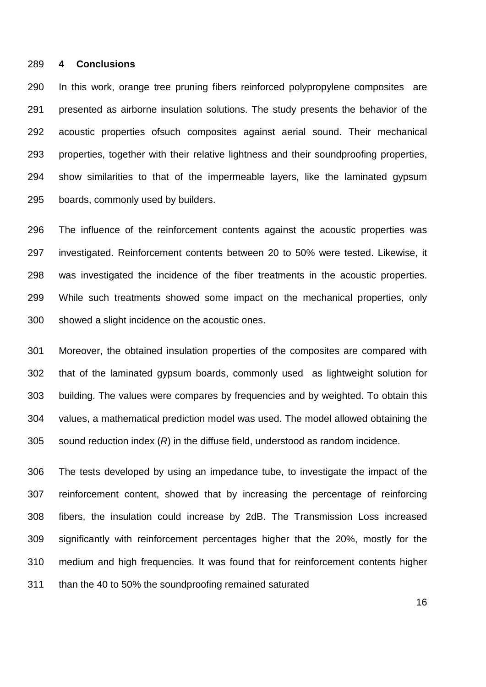#### **4 Conclusions**

 In this work, orange tree pruning fibers reinforced polypropylene composites are presented as airborne insulation solutions. The study presents the behavior of the acoustic properties ofsuch composites against aerial sound. Their mechanical properties, together with their relative lightness and their soundproofing properties, show similarities to that of the impermeable layers, like the laminated gypsum boards, commonly used by builders.

 The influence of the reinforcement contents against the acoustic properties was investigated. Reinforcement contents between 20 to 50% were tested. Likewise, it was investigated the incidence of the fiber treatments in the acoustic properties. While such treatments showed some impact on the mechanical properties, only showed a slight incidence on the acoustic ones.

 Moreover, the obtained insulation properties of the composites are compared with that of the laminated gypsum boards, commonly used as lightweight solution for building. The values were compares by frequencies and by weighted. To obtain this values, a mathematical prediction model was used. The model allowed obtaining the sound reduction index (*R*) in the diffuse field, understood as random incidence.

 The tests developed by using an impedance tube, to investigate the impact of the reinforcement content, showed that by increasing the percentage of reinforcing fibers, the insulation could increase by 2dB. The Transmission Loss increased significantly with reinforcement percentages higher that the 20%, mostly for the medium and high frequencies. It was found that for reinforcement contents higher than the 40 to 50% the soundproofing remained saturated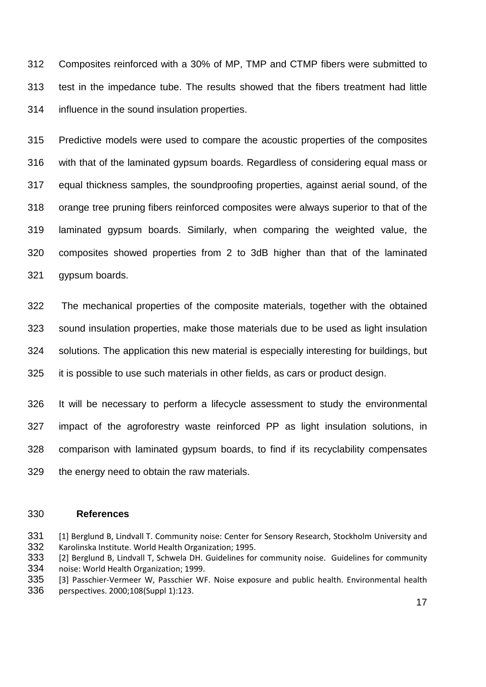Composites reinforced with a 30% of MP, TMP and CTMP fibers were submitted to test in the impedance tube. The results showed that the fibers treatment had little influence in the sound insulation properties.

 Predictive models were used to compare the acoustic properties of the composites with that of the laminated gypsum boards. Regardless of considering equal mass or equal thickness samples, the soundproofing properties, against aerial sound, of the orange tree pruning fibers reinforced composites were always superior to that of the laminated gypsum boards. Similarly, when comparing the weighted value, the composites showed properties from 2 to 3dB higher than that of the laminated gypsum boards.

 The mechanical properties of the composite materials, together with the obtained sound insulation properties, make those materials due to be used as light insulation solutions. The application this new material is especially interesting for buildings, but it is possible to use such materials in other fields, as cars or product design.

 It will be necessary to perform a lifecycle assessment to study the environmental impact of the agroforestry waste reinforced PP as light insulation solutions, in comparison with laminated gypsum boards, to find if its recyclability compensates the energy need to obtain the raw materials.

#### **References**

<span id="page-17-0"></span>331 [1] Berglund B, Lindvall T. Community noise: Center for Sensory Research, Stockholm University and 332 Karolinska Institute. World Health Organization; 1995.<br>333 [2] Berglund B, Lindvall T, Schwela DH. Guidelines for

<span id="page-17-1"></span>[2] Berglund B, Lindvall T, Schwela DH. Guidelines for community noise. Guidelines for community noise: World Health Organization; 1999.

<span id="page-17-2"></span> [3] Passchier-Vermeer W, Passchier WF. Noise exposure and public health. Environmental health perspectives. 2000;108(Suppl 1):123.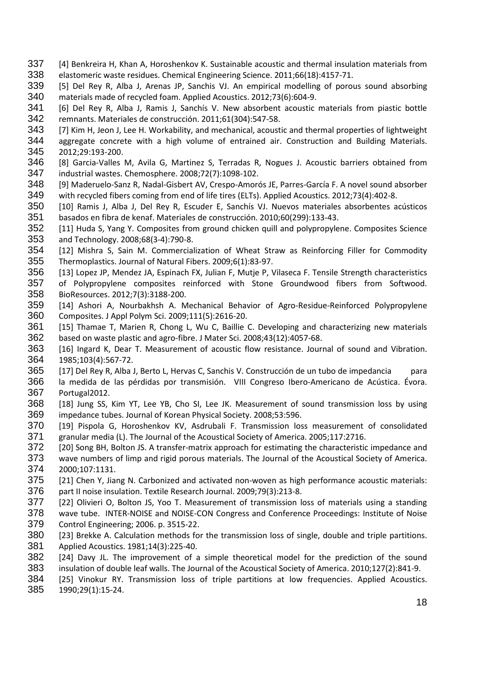- <span id="page-18-0"></span> [4] Benkreira H, Khan A, Horoshenkov K. Sustainable acoustic and thermal insulation materials from elastomeric waste residues. Chemical Engineering Science. 2011;66(18):4157-71.
- [5] Del Rey R, Alba J, Arenas JP, Sanchis VJ. An empirical modelling of porous sound absorbing materials made of recycled foam. Applied Acoustics. 2012;73(6):604-9.
- [6] Del Rey R, Alba J, Ramis J, Sanchís V. New absorbent acoustic materials from piastic bottle remnants. Materiales de construcción. 2011;61(304):547-58.
- <span id="page-18-1"></span>343 [7] Kim H, Jeon J, Lee H. Workability, and mechanical, acoustic and thermal properties of lightweight
- aggregate concrete with a high volume of entrained air. Construction and Building Materials. 2012;29:193-200.
- <span id="page-18-2"></span> [8] Garcia-Valles M, Avila G, Martinez S, Terradas R, Nogues J. Acoustic barriers obtained from industrial wastes. Chemosphere. 2008;72(7):1098-102.
- [9] Maderuelo-Sanz R, Nadal-Gisbert AV, Crespo-Amorós JE, Parres-García F. A novel sound absorber with recycled fibers coming from end of life tires (ELTs). Applied Acoustics. 2012;73(4):402-8.
- [10] Ramis J, Alba J, Del Rey R, Escuder E, Sanchís VJ. Nuevos materiales absorbentes acústicos basados en fibra de kenaf. Materiales de construcción. 2010;60(299):133-43.
- [11] Huda S, Yang Y. Composites from ground chicken quill and polypropylene. Composites Science and Technology. 2008;68(3-4):790-8.
- <span id="page-18-3"></span> [12] Mishra S, Sain M. Commercialization of Wheat Straw as Reinforcing Filler for Commodity Thermoplastics. Journal of Natural Fibers. 2009;6(1):83-97.
- <span id="page-18-4"></span>[13] Lopez JP, Mendez JA, Espinach FX, Julian F, Mutje P, Vilaseca F. Tensile Strength characteristics
- of Polypropylene composites reinforced with Stone Groundwood fibers from Softwood. BioResources. 2012;7(3):3188-200.
- <span id="page-18-5"></span> [14] Ashori A, Nourbakhsh A. Mechanical Behavior of Agro-Residue-Reinforced Polypropylene Composites. J Appl Polym Sci. 2009;111(5):2616-20.
- <span id="page-18-6"></span> [15] Thamae T, Marien R, Chong L, Wu C, Baillie C. Developing and characterizing new materials based on waste plastic and agro-fibre. J Mater Sci. 2008;43(12):4057-68.
- <span id="page-18-7"></span>363 [16] Ingard K, Dear T. Measurement of acoustic flow resistance. Journal of sound and Vibration. 1985;103(4):567-72.
- <span id="page-18-8"></span>[17] Del Rey R, Alba J, Berto L, Hervas C, Sanchis V. Construcción de un tubo de impedancia para
- la medida de las pérdidas por transmisión. VIII Congreso Ibero-Americano de Acústica. Évora. Portugal2012.
- <span id="page-18-9"></span> [18] Jung SS, Kim YT, Lee YB, Cho SI, Lee JK. Measurement of sound transmission loss by using impedance tubes. Journal of Korean Physical Society. 2008;53:596.
- [19] Pispola G, Horoshenkov KV, Asdrubali F. Transmission loss measurement of consolidated granular media (L). The Journal of the Acoustical Society of America. 2005;117:2716.
- 372 [20] Song BH, Bolton JS. A transfer-matrix approach for estimating the characteristic impedance and
- wave numbers of limp and rigid porous materials. The Journal of the Acoustical Society of America. 2000;107:1131.
- [21] Chen Y, Jiang N. Carbonized and activated non-woven as high performance acoustic materials: part II noise insulation. Textile Research Journal. 2009;79(3):213-8.
- [22] Olivieri O, Bolton JS, Yoo T. Measurement of transmission loss of materials using a standing wave tube. INTER-NOISE and NOISE-CON Congress and Conference Proceedings: Institute of Noise Control Engineering; 2006. p. 3515-22.
- <span id="page-18-10"></span> [23] Brekke A. Calculation methods for the transmission loss of single, double and triple partitions. Applied Acoustics. 1981;14(3):225-40.
- 382 [24] Davy JL. The improvement of a simple theoretical model for the prediction of the sound
- insulation of double leaf walls. The Journal of the Acoustical Society of America. 2010;127(2):841-9.
- [25] Vinokur RY. Transmission loss of triple partitions at low frequencies. Applied Acoustics.

1990;29(1):15-24.